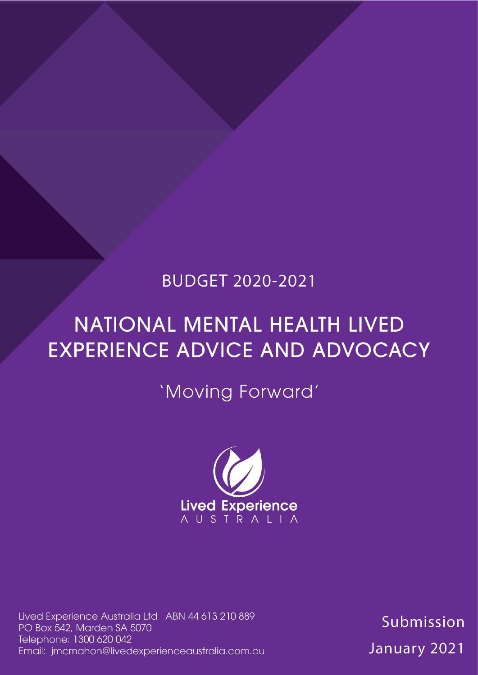## **BUDGET 2020-2021**

# **NATIONAL MENTAL HEALTH LIVED EXPERIENCE ADVICE AND ADVOCACY**

'Moving Forward'



Lived Experience Australia Ltd ABN 44 613 210 889 PO Box 542, Marden SA 5070 Telephone: 1300 620 042 Email: jmcmahon@livedexperienceaustralia.com.au

Submission January 2021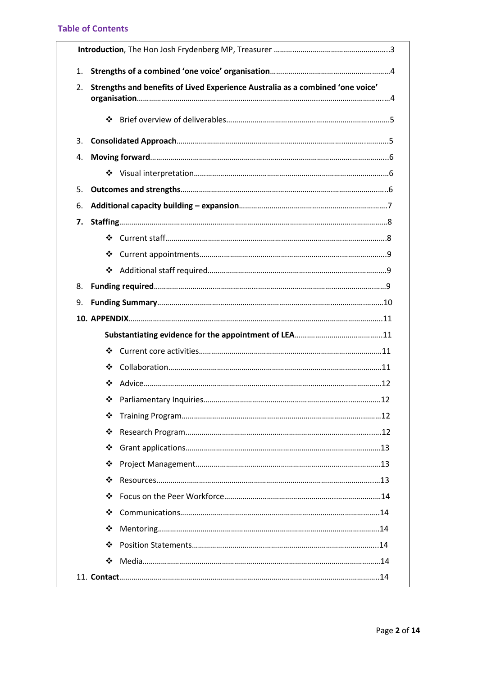## **Table of Contents**

| 1. |                                                                                |  |  |  |  |  |
|----|--------------------------------------------------------------------------------|--|--|--|--|--|
| 2. | Strengths and benefits of Lived Experience Australia as a combined 'one voice' |  |  |  |  |  |
|    | $\frac{1}{2}$                                                                  |  |  |  |  |  |
| 3. |                                                                                |  |  |  |  |  |
| 4. |                                                                                |  |  |  |  |  |
|    |                                                                                |  |  |  |  |  |
| 5. |                                                                                |  |  |  |  |  |
| 6. |                                                                                |  |  |  |  |  |
| 7. |                                                                                |  |  |  |  |  |
|    |                                                                                |  |  |  |  |  |
|    | ❖                                                                              |  |  |  |  |  |
|    | ❖                                                                              |  |  |  |  |  |
| 8. |                                                                                |  |  |  |  |  |
| 9. |                                                                                |  |  |  |  |  |
|    |                                                                                |  |  |  |  |  |
|    |                                                                                |  |  |  |  |  |
|    | ❖                                                                              |  |  |  |  |  |
|    | ❖                                                                              |  |  |  |  |  |
|    | ❖                                                                              |  |  |  |  |  |
|    | ❖                                                                              |  |  |  |  |  |
|    | ❖                                                                              |  |  |  |  |  |
|    | ❖                                                                              |  |  |  |  |  |
|    | ❖                                                                              |  |  |  |  |  |
|    | ❖                                                                              |  |  |  |  |  |
|    | ❖                                                                              |  |  |  |  |  |
|    | ❖                                                                              |  |  |  |  |  |
|    | ❖                                                                              |  |  |  |  |  |
|    | ❖                                                                              |  |  |  |  |  |
|    |                                                                                |  |  |  |  |  |
|    | ❖                                                                              |  |  |  |  |  |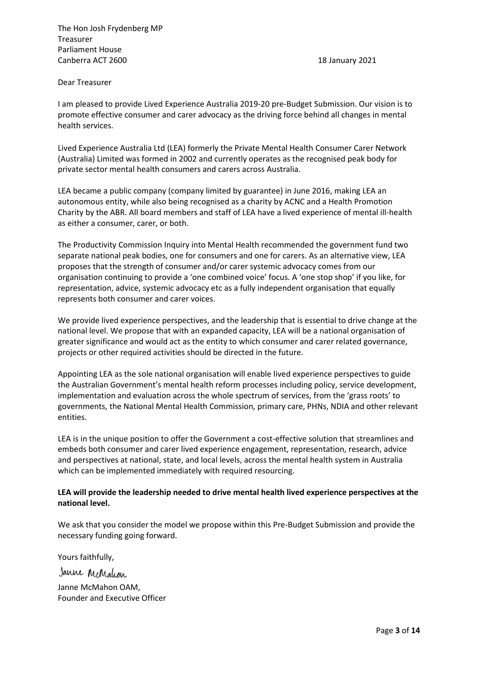The Hon Josh Frydenberg MP Treasurer Parliament House Canberra ACT 2600 18 January 2021

#### Dear Treasurer

I am pleased to provide Lived Experience Australia 2019-20 pre-Budget Submission. Our vision is to promote effective consumer and carer advocacy as the driving force behind all changes in mental health services.

Lived Experience Australia Ltd (LEA) formerly the Private Mental Health Consumer Carer Network (Australia) Limited was formed in 2002 and currently operates as the recognised peak body for private sector mental health consumers and carers across Australia.

LEA became a public company (company limited by guarantee) in June 2016, making LEA an autonomous entity, while also being recognised as a charity by ACNC and a Health Promotion Charity by the ABR. All board members and staff of LEA have a lived experience of mental ill-health as either a consumer, carer, or both.

The Productivity Commission Inquiry into Mental Health recommended the government fund two separate national peak bodies, one for consumers and one for carers. As an alternative view, LEA proposes that the strength of consumer and/or carer systemic advocacy comes from our organisation continuing to provide a 'one combined voice' focus. A 'one stop shop' if you like, for representation, advice, systemic advocacy etc as a fully independent organisation that equally represents both consumer and carer voices.

We provide lived experience perspectives, and the leadership that is essential to drive change at the national level. We propose that with an expanded capacity, LEA will be a national organisation of greater significance and would act as the entity to which consumer and carer related governance, projects or other required activities should be directed in the future.

Appointing LEA as the sole national organisation will enable lived experience perspectives to guide the Australian Government's mental health reform processes including policy, service development, implementation and evaluation across the whole spectrum of services, from the 'grass roots' to governments, the National Mental Health Commission, primary care, PHNs, NDIA and other relevant entities.

LEA is in the unique position to offer the Government a cost-effective solution that streamlines and embeds both consumer and carer lived experience engagement, representation, research, advice and perspectives at national, state, and local levels, across the mental health system in Australia which can be implemented immediately with required resourcing.

### **LEA will provide the leadership needed to drive mental health lived experience perspectives at the national level.**

We ask that you consider the model we propose within this Pre-Budget Submission and provide the necessary funding going forward.

Yours faithfully, Janne McMalcon Janne McMahon OAM, Founder and Executive Officer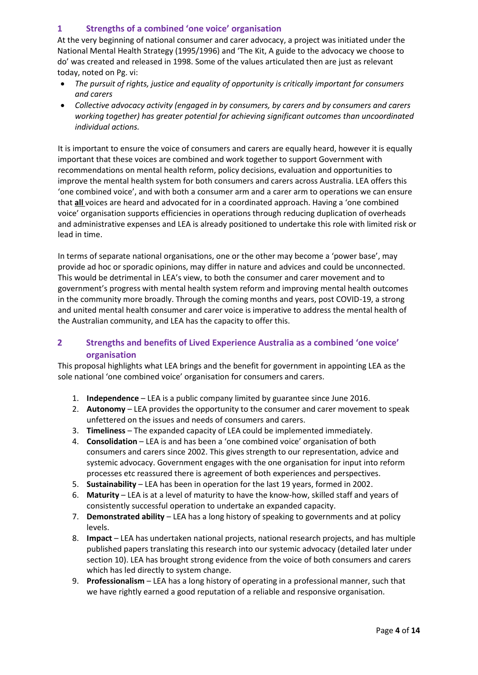## **1 Strengths of a combined 'one voice' organisation**

At the very beginning of national consumer and carer advocacy, a project was initiated under the National Mental Health Strategy (1995/1996) and 'The Kit, A guide to the advocacy we choose to do' was created and released in 1998. Some of the values articulated then are just as relevant today, noted on Pg. vi:

- *The pursuit of rights, justice and equality of opportunity is critically important for consumers and carers*
- *Collective advocacy activity (engaged in by consumers, by carers and by consumers and carers working together) has greater potential for achieving significant outcomes than uncoordinated individual actions.*

It is important to ensure the voice of consumers and carers are equally heard, however it is equally important that these voices are combined and work together to support Government with recommendations on mental health reform, policy decisions, evaluation and opportunities to improve the mental health system for both consumers and carers across Australia. LEA offers this 'one combined voice', and with both a consumer arm and a carer arm to operations we can ensure that **all** voices are heard and advocated for in a coordinated approach. Having a 'one combined voice' organisation supports efficiencies in operations through reducing duplication of overheads and administrative expenses and LEA is already positioned to undertake this role with limited risk or lead in time.

In terms of separate national organisations, one or the other may become a 'power base', may provide ad hoc or sporadic opinions, may differ in nature and advices and could be unconnected. This would be detrimental in LEA's view, to both the consumer and carer movement and to government's progress with mental health system reform and improving mental health outcomes in the community more broadly. Through the coming months and years, post COVID-19, a strong and united mental health consumer and carer voice is imperative to address the mental health of the Australian community, and LEA has the capacity to offer this.

## **2 Strengths and benefits of Lived Experience Australia as a combined 'one voice' organisation**

This proposal highlights what LEA brings and the benefit for government in appointing LEA as the sole national 'one combined voice' organisation for consumers and carers.

- 1. **Independence** LEA is a public company limited by guarantee since June 2016.
- 2. **Autonomy** LEA provides the opportunity to the consumer and carer movement to speak unfettered on the issues and needs of consumers and carers.
- 3. **Timeliness** The expanded capacity of LEA could be implemented immediately.
- 4. **Consolidation** LEA is and has been a 'one combined voice' organisation of both consumers and carers since 2002. This gives strength to our representation, advice and systemic advocacy. Government engages with the one organisation for input into reform processes etc reassured there is agreement of both experiences and perspectives.
- 5. **Sustainability** LEA has been in operation for the last 19 years, formed in 2002.
- 6. **Maturity** LEA is at a level of maturity to have the know-how, skilled staff and years of consistently successful operation to undertake an expanded capacity.
- 7. **Demonstrated ability** LEA has a long history of speaking to governments and at policy levels.
- 8. **Impact** LEA has undertaken national projects, national research projects, and has multiple published papers translating this research into our systemic advocacy (detailed later under section 10). LEA has brought strong evidence from the voice of both consumers and carers which has led directly to system change.
- 9. **Professionalism** LEA has a long history of operating in a professional manner, such that we have rightly earned a good reputation of a reliable and responsive organisation.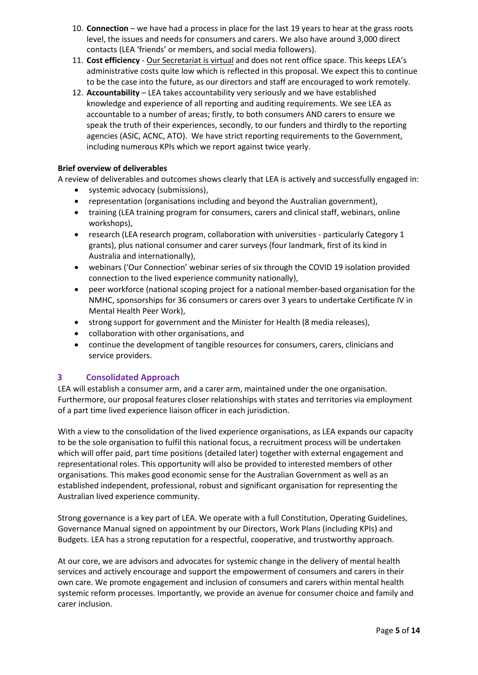- 10. **Connection** we have had a process in place for the last 19 years to hear at the grass roots level, the issues and needs for consumers and carers. We also have around 3,000 direct contacts (LEA 'friends' or members, and social media followers).
- 11. **Cost efficiency**  Our Secretariat is virtual and does not rent office space. This keeps LEA's administrative costs quite low which is reflected in this proposal. We expect this to continue to be the case into the future, as our directors and staff are encouraged to work remotely.
- 12. **Accountability** LEA takes accountability very seriously and we have established knowledge and experience of all reporting and auditing requirements. We see LEA as accountable to a number of areas; firstly, to both consumers AND carers to ensure we speak the truth of their experiences, secondly, to our funders and thirdly to the reporting agencies (ASIC, ACNC, ATO). We have strict reporting requirements to the Government, including numerous KPIs which we report against twice yearly.

## **Brief overview of deliverables**

A review of deliverables and outcomes shows clearly that LEA is actively and successfully engaged in:

- systemic advocacy (submissions),
- representation (organisations including and beyond the Australian government),
- training (LEA training program for consumers, carers and clinical staff, webinars, online workshops),
- research (LEA research program, collaboration with universities particularly Category 1 grants), plus national consumer and carer surveys (four landmark, first of its kind in Australia and internationally),
- webinars ('Our Connection' webinar series of six through the COVID 19 isolation provided connection to the lived experience community nationally),
- peer workforce (national scoping project for a national member-based organisation for the NMHC, sponsorships for 36 consumers or carers over 3 years to undertake Certificate IV in Mental Health Peer Work),
- strong support for government and the Minister for Health (8 media releases),
- collaboration with other organisations, and
- continue the development of tangible resources for consumers, carers, clinicians and service providers.

## **3 Consolidated Approach**

LEA will establish a consumer arm, and a carer arm, maintained under the one organisation. Furthermore, our proposal features closer relationships with states and territories via employment of a part time lived experience liaison officer in each jurisdiction.

With a view to the consolidation of the lived experience organisations, as LEA expands our capacity to be the sole organisation to fulfil this national focus, a recruitment process will be undertaken which will offer paid, part time positions (detailed later) together with external engagement and representational roles. This opportunity will also be provided to interested members of other organisations. This makes good economic sense for the Australian Government as well as an established independent, professional, robust and significant organisation for representing the Australian lived experience community.

Strong governance is a key part of LEA. We operate with a full Constitution, Operating Guidelines, Governance Manual signed on appointment by our Directors, Work Plans (including KPIs) and Budgets. LEA has a strong reputation for a respectful, cooperative, and trustworthy approach.

At our core, we are advisors and advocates for systemic change in the delivery of mental health services and actively encourage and support the empowerment of consumers and carers in their own care. We promote engagement and inclusion of consumers and carers within mental health systemic reform processes. Importantly, we provide an avenue for consumer choice and family and carer inclusion.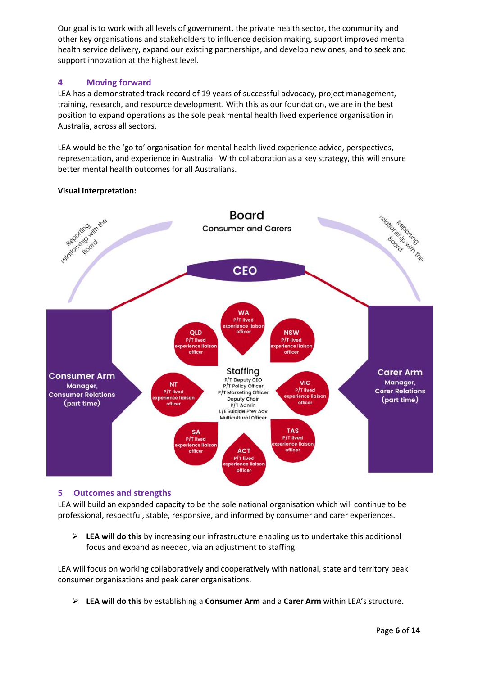Our goal is to work with all levels of government, the private health sector, the community and other key organisations and stakeholders to influence decision making, support improved mental health service delivery, expand our existing partnerships, and develop new ones, and to seek and support innovation at the highest level.

## **4 Moving forward**

LEA has a demonstrated track record of 19 years of successful advocacy, project management, training, research, and resource development. With this as our foundation, we are in the best position to expand operations as the sole peak mental health lived experience organisation in Australia, across all sectors.

LEA would be the 'go to' organisation for mental health lived experience advice, perspectives, representation, and experience in Australia. With collaboration as a key strategy, this will ensure better mental health outcomes for all Australians.



## **Visual interpretation:**

## **5 Outcomes and strengths**

LEA will build an expanded capacity to be the sole national organisation which will continue to be professional, respectful, stable, responsive, and informed by consumer and carer experiences.

➢ **LEA will do this** by increasing our infrastructure enabling us to undertake this additional focus and expand as needed, via an adjustment to staffing.

LEA will focus on working collaboratively and cooperatively with national, state and territory peak consumer organisations and peak carer organisations.

➢ **LEA will do this** by establishing a **Consumer Arm** and a **Carer Arm** within LEA's structure**.**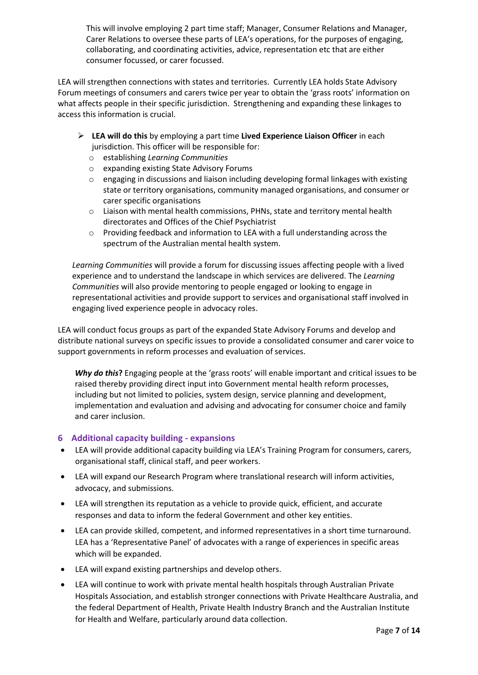This will involve employing 2 part time staff; Manager, Consumer Relations and Manager, Carer Relations to oversee these parts of LEA's operations, for the purposes of engaging, collaborating, and coordinating activities, advice, representation etc that are either consumer focussed, or carer focussed.

LEA will strengthen connections with states and territories. Currently LEA holds State Advisory Forum meetings of consumers and carers twice per year to obtain the 'grass roots' information on what affects people in their specific jurisdiction. Strengthening and expanding these linkages to access this information is crucial.

- ➢ **LEA will do this** by employing a part time **Lived Experience Liaison Officer** in each jurisdiction. This officer will be responsible for:
	- o establishing *Learning Communities*
	- o expanding existing State Advisory Forums
	- $\circ$  engaging in discussions and liaison including developing formal linkages with existing state or territory organisations, community managed organisations, and consumer or carer specific organisations
	- o Liaison with mental health commissions, PHNs, state and territory mental health directorates and Offices of the Chief Psychiatrist
	- $\circ$  Providing feedback and information to LEA with a full understanding across the spectrum of the Australian mental health system.

*Learning Communities* will provide a forum for discussing issues affecting people with a lived experience and to understand the landscape in which services are delivered. The *Learning Communities* will also provide mentoring to people engaged or looking to engage in representational activities and provide support to services and organisational staff involved in engaging lived experience people in advocacy roles.

LEA will conduct focus groups as part of the expanded State Advisory Forums and develop and distribute national surveys on specific issues to provide a consolidated consumer and carer voice to support governments in reform processes and evaluation of services.

*Why do this***?** Engaging people at the 'grass roots' will enable important and critical issues to be raised thereby providing direct input into Government mental health reform processes, including but not limited to policies, system design, service planning and development, implementation and evaluation and advising and advocating for consumer choice and family and carer inclusion.

## **6 Additional capacity building - expansions**

- LEA will provide additional capacity building via LEA's Training Program for consumers, carers, organisational staff, clinical staff, and peer workers.
- LEA will expand our Research Program where translational research will inform activities, advocacy, and submissions.
- LEA will strengthen its reputation as a vehicle to provide quick, efficient, and accurate responses and data to inform the federal Government and other key entities.
- LEA can provide skilled, competent, and informed representatives in a short time turnaround. LEA has a 'Representative Panel' of advocates with a range of experiences in specific areas which will be expanded.
- LEA will expand existing partnerships and develop others.
- LEA will continue to work with private mental health hospitals through Australian Private Hospitals Association, and establish stronger connections with Private Healthcare Australia, and the federal Department of Health, Private Health Industry Branch and the Australian Institute for Health and Welfare, particularly around data collection.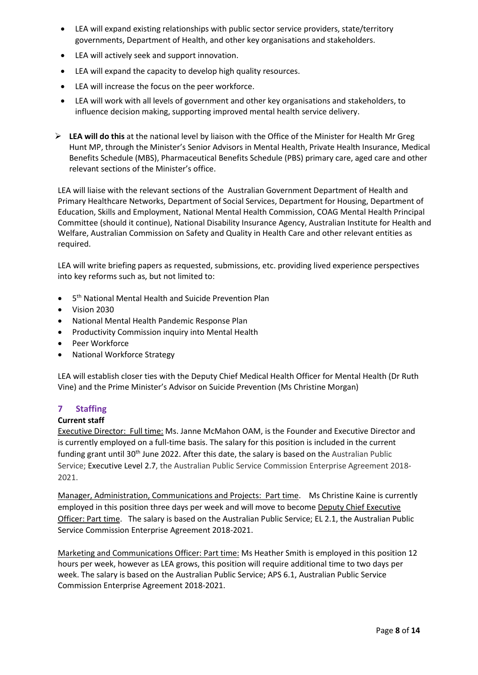- LEA will expand existing relationships with public sector service providers, state/territory governments, Department of Health, and other key organisations and stakeholders.
- LEA will actively seek and support innovation.
- LEA will expand the capacity to develop high quality resources.
- LEA will increase the focus on the peer workforce.
- LEA will work with all levels of government and other key organisations and stakeholders, to influence decision making, supporting improved mental health service delivery.
- ➢ **LEA will do this** at the national level by liaison with the Office of the Minister for Health Mr Greg Hunt MP, through the Minister's Senior Advisors in Mental Health, Private Health Insurance, Medical Benefits Schedule (MBS), Pharmaceutical Benefits Schedule (PBS) primary care, aged care and other relevant sections of the Minister's office.

LEA will liaise with the relevant sections of the Australian Government Department of Health and Primary Healthcare Networks, Department of Social Services, Department for Housing, Department of Education, Skills and Employment, National Mental Health Commission, COAG Mental Health Principal Committee (should it continue), National Disability Insurance Agency, Australian Institute for Health and Welfare, Australian Commission on Safety and Quality in Health Care and other relevant entities as required.

LEA will write briefing papers as requested, submissions, etc. providing lived experience perspectives into key reforms such as, but not limited to:

- 5<sup>th</sup> National Mental Health and Suicide Prevention Plan
- Vision 2030
- National Mental Health Pandemic Response Plan
- Productivity Commission inquiry into Mental Health
- Peer Workforce
- National Workforce Strategy

LEA will establish closer ties with the Deputy Chief Medical Health Officer for Mental Health (Dr Ruth Vine) and the Prime Minister's Advisor on Suicide Prevention (Ms Christine Morgan)

## **7 Staffing**

#### **Current staff**

Executive Director: Full time: Ms. Janne McMahon OAM, is the Founder and Executive Director and is currently employed on a full-time basis. The salary for this position is included in the current funding grant until  $30<sup>th</sup>$  June 2022. After this date, the salary is based on the Australian Public Service; Executive Level 2.7, the Australian Public Service Commission Enterprise Agreement 2018- 2021.

Manager, Administration, Communications and Projects: Part time. Ms Christine Kaine is currently employed in this position three days per week and will move to become Deputy Chief Executive Officer: Part time. The salary is based on the Australian Public Service; EL 2.1, the Australian Public Service Commission Enterprise Agreement 2018-2021.

Marketing and Communications Officer: Part time: Ms Heather Smith is employed in this position 12 hours per week, however as LEA grows, this position will require additional time to two days per week. The salary is based on the Australian Public Service; APS 6.1, Australian Public Service Commission Enterprise Agreement 2018-2021.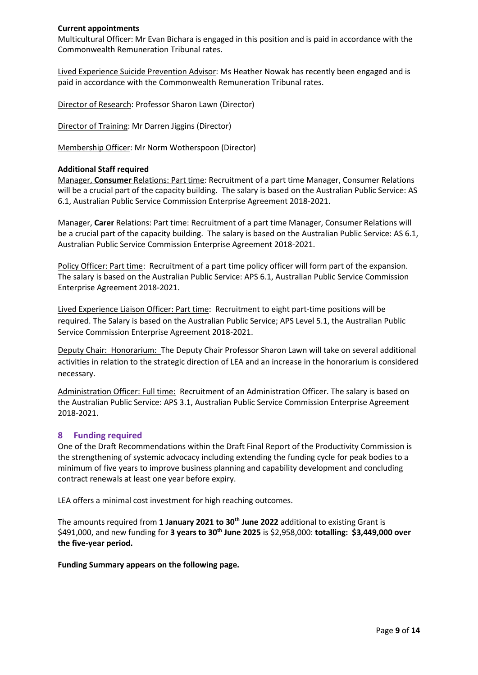#### **Current appointments**

Multicultural Officer: Mr Evan Bichara is engaged in this position and is paid in accordance with the Commonwealth Remuneration Tribunal rates.

Lived Experience Suicide Prevention Advisor: Ms Heather Nowak has recently been engaged and is paid in accordance with the Commonwealth Remuneration Tribunal rates.

Director of Research: Professor Sharon Lawn (Director)

Director of Training: Mr Darren Jiggins (Director)

Membership Officer: Mr Norm Wotherspoon (Director)

### **Additional Staff required**

Manager, **Consumer** Relations: Part time: Recruitment of a part time Manager, Consumer Relations will be a crucial part of the capacity building. The salary is based on the Australian Public Service: AS 6.1, Australian Public Service Commission Enterprise Agreement 2018-2021.

Manager, **Carer** Relations: Part time: Recruitment of a part time Manager, Consumer Relations will be a crucial part of the capacity building. The salary is based on the Australian Public Service: AS 6.1, Australian Public Service Commission Enterprise Agreement 2018-2021.

Policy Officer: Part time: Recruitment of a part time policy officer will form part of the expansion. The salary is based on the Australian Public Service: APS 6.1, Australian Public Service Commission Enterprise Agreement 2018-2021.

Lived Experience Liaison Officer: Part time: Recruitment to eight part-time positions will be required. The Salary is based on the Australian Public Service; APS Level 5.1, the Australian Public Service Commission Enterprise Agreement 2018-2021.

Deputy Chair: Honorarium: The Deputy Chair Professor Sharon Lawn will take on several additional activities in relation to the strategic direction of LEA and an increase in the honorarium is considered necessary.

Administration Officer: Full time: Recruitment of an Administration Officer. The salary is based on the Australian Public Service: APS 3.1, Australian Public Service Commission Enterprise Agreement 2018-2021.

## **8 Funding required**

One of the Draft Recommendations within the Draft Final Report of the Productivity Commission is the strengthening of systemic advocacy including extending the funding cycle for peak bodies to a minimum of five years to improve business planning and capability development and concluding contract renewals at least one year before expiry.

LEA offers a minimal cost investment for high reaching outcomes.

The amounts required from **1 January 2021 to 30th June 2022** additional to existing Grant is \$491,000, and new funding for **3 years to 30th June 2025** is \$2,958,000: **totalling: \$3,449,000 over the five-year period.**

**Funding Summary appears on the following page.**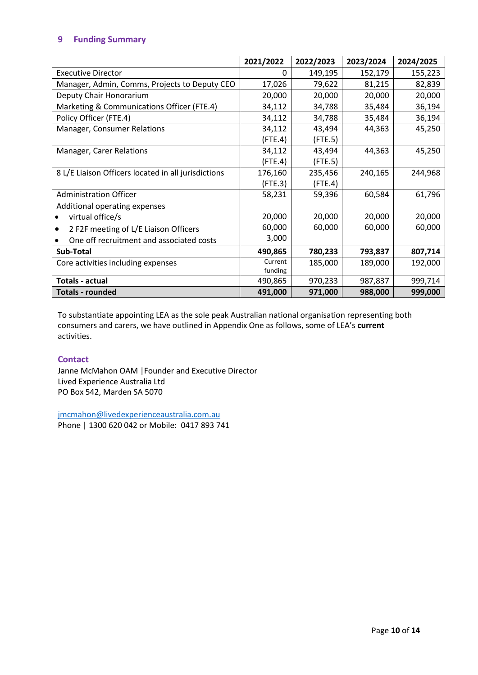## **9 Funding Summary**

|                                                     | 2021/2022     | 2022/2023 | 2023/2024 | 2024/2025 |
|-----------------------------------------------------|---------------|-----------|-----------|-----------|
| <b>Executive Director</b>                           | 0             | 149,195   | 152,179   | 155,223   |
| Manager, Admin, Comms, Projects to Deputy CEO       | 17,026        | 79,622    | 81,215    | 82,839    |
| Deputy Chair Honorarium                             | 20,000        | 20,000    | 20,000    | 20,000    |
| Marketing & Communications Officer (FTE.4)          | 34,112        | 34,788    | 35,484    | 36,194    |
| Policy Officer (FTE.4)                              | 34,112        | 34,788    | 35,484    | 36,194    |
| Manager, Consumer Relations                         | 34,112        | 43,494    | 44,363    | 45,250    |
|                                                     | $($ FTE.4 $)$ | (FTE.5)   |           |           |
| Manager, Carer Relations                            | 34,112        | 43,494    | 44,363    | 45,250    |
|                                                     | (FTE.4)       | (FTE.5)   |           |           |
| 8 L/E Liaison Officers located in all jurisdictions | 176,160       | 235,456   | 240,165   | 244,968   |
|                                                     | (FTE.3)       | (FTE.4)   |           |           |
| <b>Administration Officer</b>                       | 58,231        | 59,396    | 60,584    | 61,796    |
| Additional operating expenses                       |               |           |           |           |
| virtual office/s                                    | 20,000        | 20,000    | 20,000    | 20,000    |
| 2 F2F meeting of L/E Liaison Officers               | 60,000        | 60,000    | 60,000    | 60,000    |
| One off recruitment and associated costs            | 3,000         |           |           |           |
| Sub-Total                                           | 490,865       | 780,233   | 793,837   | 807,714   |
| Core activities including expenses                  | Current       | 185,000   | 189,000   | 192,000   |
|                                                     | funding       |           |           |           |
| <b>Totals - actual</b>                              | 490,865       | 970,233   | 987,837   | 999,714   |
| <b>Totals - rounded</b>                             | 491,000       | 971,000   | 988,000   | 999,000   |

To substantiate appointing LEA as the sole peak Australian national organisation representing both consumers and carers, we have outlined in Appendix One as follows, some of LEA's **current**  activities.

## **Contact**

Janne McMahon OAM |Founder and Executive Director Lived Experience Australia Ltd PO Box 542, Marden SA 5070

[jmcmahon@livedexperienceaustralia.com.au](mailto:jmcmahon@livedexperienceaustralia.com.au) 

Phone | 1300 620 042 or Mobile: 0417 893 741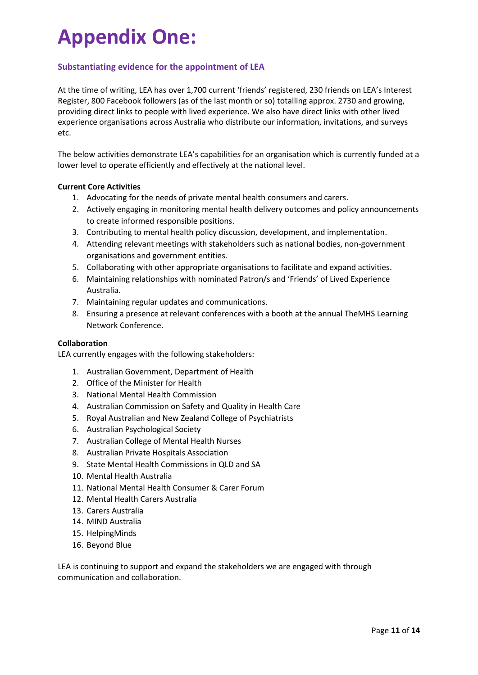## **Appendix One:**

## **Substantiating evidence for the appointment of LEA**

At the time of writing, LEA has over 1,700 current 'friends' registered, 230 friends on LEA's Interest Register, 800 Facebook followers (as of the last month or so) totalling approx. 2730 and growing, providing direct links to people with lived experience. We also have direct links with other lived experience organisations across Australia who distribute our information, invitations, and surveys etc.

The below activities demonstrate LEA's capabilities for an organisation which is currently funded at a lower level to operate efficiently and effectively at the national level.

#### **Current Core Activities**

- 1. Advocating for the needs of private mental health consumers and carers.
- 2. Actively engaging in monitoring mental health delivery outcomes and policy announcements to create informed responsible positions.
- 3. Contributing to mental health policy discussion, development, and implementation.
- 4. Attending relevant meetings with stakeholders such as national bodies, non-government organisations and government entities.
- 5. Collaborating with other appropriate organisations to facilitate and expand activities.
- 6. Maintaining relationships with nominated Patron/s and 'Friends' of Lived Experience Australia.
- 7. Maintaining regular updates and communications.
- 8. Ensuring a presence at relevant conferences with a booth at the annual TheMHS Learning Network Conference.

#### **Collaboration**

LEA currently engages with the following stakeholders:

- 1. Australian Government, Department of Health
- 2. Office of the Minister for Health
- 3. National Mental Health Commission
- 4. Australian Commission on Safety and Quality in Health Care
- 5. Royal Australian and New Zealand College of Psychiatrists
- 6. Australian Psychological Society
- 7. Australian College of Mental Health Nurses
- 8. Australian Private Hospitals Association
- 9. State Mental Health Commissions in QLD and SA
- 10. Mental Health Australia
- 11. National Mental Health Consumer & Carer Forum
- 12. Mental Health Carers Australia
- 13. Carers Australia
- 14. MIND Australia
- 15. HelpingMinds
- 16. Beyond Blue

LEA is continuing to support and expand the stakeholders we are engaged with through communication and collaboration.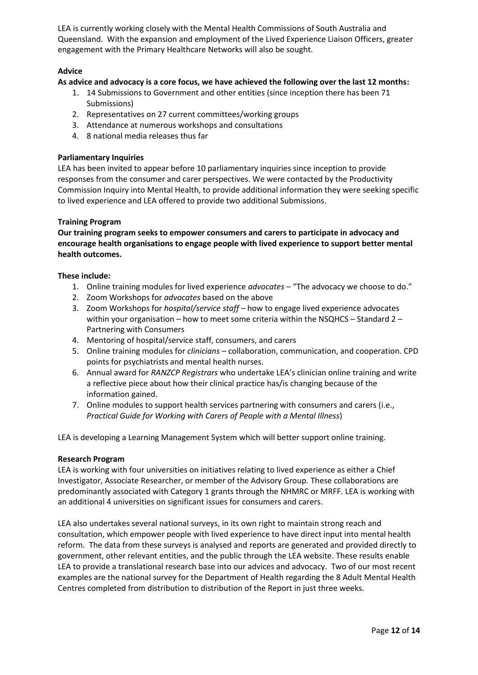LEA is currently working closely with the Mental Health Commissions of South Australia and Queensland. With the expansion and employment of the Lived Experience Liaison Officers, greater engagement with the Primary Healthcare Networks will also be sought.

## **Advice**

## **As advice and advocacy is a core focus, we have achieved the following over the last 12 months:**

- 1. 14 Submissions to Government and other entities (since inception there has been 71 Submissions)
- 2. Representatives on 27 current committees/working groups
- 3. Attendance at numerous workshops and consultations
- 4. 8 national media releases thus far

#### **Parliamentary Inquiries**

LEA has been invited to appear before 10 parliamentary inquiries since inception to provide responses from the consumer and carer perspectives. We were contacted by the Productivity Commission Inquiry into Mental Health, to provide additional information they were seeking specific to lived experience and LEA offered to provide two additional Submissions.

#### **Training Program**

**Our training program seeks to empower consumers and carers to participate in advocacy and encourage health organisations to engage people with lived experience to support better mental health outcomes.** 

### **These include:**

- 1. Online training modules for lived experience *advocates* "The advocacy we choose to do."
- 2. Zoom Workshops for *advocates* based on the above
- 3. Zoom Workshops for *hospital/service staff* how to engage lived experience advocates within your organisation – how to meet some criteria within the NSQHCS – Standard 2 – Partnering with Consumers
- 4. Mentoring of hospital/service staff, consumers, and carers
- 5. Online training modules for *clinicians* collaboration, communication, and cooperation. CPD points for psychiatrists and mental health nurses.
- 6. Annual award for *RANZCP Registrars* who undertake LEA's clinician online training and write a reflective piece about how their clinical practice has/is changing because of the information gained.
- 7. Online modules to support health services partnering with consumers and carers (i.e., *Practical Guide for Working with Carers of People with a Mental Illness*)

LEA is developing a Learning Management System which will better support online training.

#### **Research Program**

LEA is working with four universities on initiatives relating to lived experience as either a Chief Investigator, Associate Researcher, or member of the Advisory Group. These collaborations are predominantly associated with Category 1 grants through the NHMRC or MRFF. LEA is working with an additional 4 universities on significant issues for consumers and carers.

LEA also undertakes several national surveys, in its own right to maintain strong reach and consultation, which empower people with lived experience to have direct input into mental health reform. The data from these surveys is analysed and reports are generated and provided directly to government, other relevant entities, and the public through the LEA website. These results enable LEA to provide a translational research base into our advices and advocacy. Two of our most recent examples are the national survey for the Department of Health regarding the 8 Adult Mental Health Centres completed from distribution to distribution of the Report in just three weeks.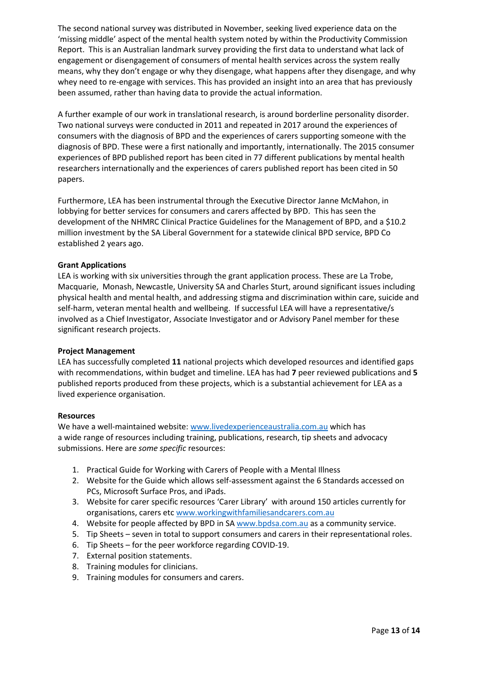The second national survey was distributed in November, seeking lived experience data on the 'missing middle' aspect of the mental health system noted by within the Productivity Commission Report. This is an Australian landmark survey providing the first data to understand what lack of engagement or disengagement of consumers of mental health services across the system really means, why they don't engage or why they disengage, what happens after they disengage, and why whey need to re-engage with services. This has provided an insight into an area that has previously been assumed, rather than having data to provide the actual information.

A further example of our work in translational research, is around borderline personality disorder. Two national surveys were conducted in 2011 and repeated in 2017 around the experiences of consumers with the diagnosis of BPD and the experiences of carers supporting someone with the diagnosis of BPD. These were a first nationally and importantly, internationally. The 2015 consumer experiences of BPD published report has been cited in 77 different publications by mental health researchers internationally and the experiences of carers published report has been cited in 50 papers.

Furthermore, LEA has been instrumental through the Executive Director Janne McMahon, in lobbying for better services for consumers and carers affected by BPD. This has seen the development of the NHMRC Clinical Practice Guidelines for the Management of BPD, and a \$10.2 million investment by the SA Liberal Government for a statewide clinical BPD service, BPD Co established 2 years ago.

### **Grant Applications**

LEA is working with six universities through the grant application process. These are La Trobe, Macquarie, Monash, Newcastle, University SA and Charles Sturt, around significant issues including physical health and mental health, and addressing stigma and discrimination within care, suicide and self-harm, veteran mental health and wellbeing. If successful LEA will have a representative/s involved as a Chief Investigator, Associate Investigator and or Advisory Panel member for these significant research projects.

#### **Project Management**

LEA has successfully completed **11** national projects which developed resources and identified gaps with recommendations, within budget and timeline. LEA has had **7** peer reviewed publications and **5**  published reports produced from these projects, which is a substantial achievement for LEA as a lived experience organisation.

#### **Resources**

We have a well-maintained website: [www.livedexperienceaustralia.com.au](http://www.livedexperienceaustralia.com.au/) which has a wide range of resources including training, publications, research, tip sheets and advocacy submissions. Here are *some specific* resources:

- 1. Practical Guide for Working with Carers of People with a Mental Illness
- 2. Website for the Guide which allows self-assessment against the 6 Standards accessed on PCs, Microsoft Surface Pros, and iPads.
- 3. Website for carer specific resources 'Carer Library' with around 150 articles currently for organisations, carers et[c www.workingwithfamiliesandcarers.com.au](http://www.workingwithfamiliesandcarers.com.au/)
- 4. Website for people affected by BPD in SA [www.bpdsa.com.au](http://www.bpdsa.com.au/) as a community service.
- 5. Tip Sheets seven in total to support consumers and carers in their representational roles.
- 6. Tip Sheets for the peer workforce regarding COVID-19.
- 7. External position statements.
- 8. Training modules for clinicians.
- 9. Training modules for consumers and carers.